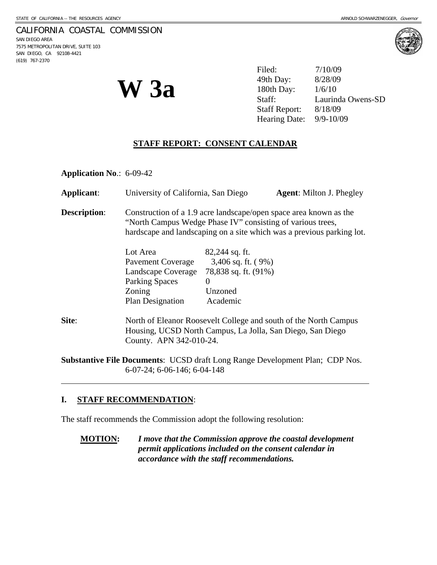#### CALIFORNIA COASTAL COMMISSION

SAN DIEGO AREA 7575 METROPOLITAN DRIVE, SUITE 103 SAN DIEGO, CA 92108-4421 (619) 767-2370

l



**W 3a** 

Filed: 7/10/09 49th Day: 8/28/09 180th Day: 1/6/10 Staff: Laurinda Owens-SD Staff Report: 8/18/09 Hearing Date: 9/9-10/09

### **STAFF REPORT: CONSENT CALENDAR**

**Application No**.: 6-09-42

| Applicant:          | University of California, San Diego                                                                                                                                                                      |                                                                                                       | <b>Agent:</b> Milton J. Phegley |
|---------------------|----------------------------------------------------------------------------------------------------------------------------------------------------------------------------------------------------------|-------------------------------------------------------------------------------------------------------|---------------------------------|
| <b>Description:</b> | Construction of a 1.9 acre landscape/open space area known as the<br>"North Campus Wedge Phase IV" consisting of various trees,<br>hardscape and landscaping on a site which was a previous parking lot. |                                                                                                       |                                 |
|                     | Lot Area<br>Pavement Coverage<br>Landscape Coverage<br><b>Parking Spaces</b><br>Zoning<br><b>Plan Designation</b>                                                                                        | $82,244$ sq. ft.<br>$3,406$ sq. ft. $(9%)$<br>78,838 sq. ft. (91%)<br>$\Omega$<br>Unzoned<br>Academic |                                 |
| Site:               | North of Eleanor Roosevelt College and south of the North Campus<br>Housing, UCSD North Campus, La Jolla, San Diego, San Diego<br>County. APN 342-010-24.                                                |                                                                                                       |                                 |

**Substantive File Documents**: UCSD draft Long Range Development Plan; CDP Nos. 6-07-24; 6-06-146; 6-04-148

## **I. STAFF RECOMMENDATION**:

The staff recommends the Commission adopt the following resolution:

**MOTION:** *I move that the Commission approve the coastal development permit applications included on the consent calendar in accordance with the staff recommendations.*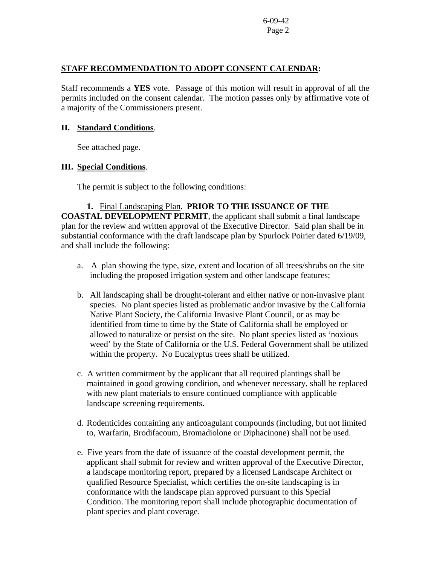## **STAFF RECOMMENDATION TO ADOPT CONSENT CALENDAR:**

Staff recommends a **YES** vote. Passage of this motion will result in approval of all the permits included on the consent calendar. The motion passes only by affirmative vote of a majority of the Commissioners present.

## **II. Standard Conditions**.

See attached page.

# **III. Special Conditions**.

The permit is subject to the following conditions:

# **1.** Final Landscaping Plan. **PRIOR TO THE ISSUANCE OF THE**

**COASTAL DEVELOPMENT PERMIT**, the applicant shall submit a final landscape plan for the review and written approval of the Executive Director. Said plan shall be in substantial conformance with the draft landscape plan by Spurlock Poirier dated 6/19/09, and shall include the following:

- a. A plan showing the type, size, extent and location of all trees/shrubs on the site including the proposed irrigation system and other landscape features;
- b. All landscaping shall be drought-tolerant and either native or non-invasive plant species. No plant species listed as problematic and/or invasive by the California Native Plant Society, the California Invasive Plant Council, or as may be identified from time to time by the State of California shall be employed or allowed to naturalize or persist on the site. No plant species listed as 'noxious weed' by the State of California or the U.S. Federal Government shall be utilized within the property. No Eucalyptus trees shall be utilized.
- c. A written commitment by the applicant that all required plantings shall be maintained in good growing condition, and whenever necessary, shall be replaced with new plant materials to ensure continued compliance with applicable landscape screening requirements.
- d. Rodenticides containing any anticoagulant compounds (including, but not limited to, Warfarin, Brodifacoum, Bromadiolone or Diphacinone) shall not be used.
- e. Five years from the date of issuance of the coastal development permit, the applicant shall submit for review and written approval of the Executive Director, a landscape monitoring report, prepared by a licensed Landscape Architect or qualified Resource Specialist, which certifies the on-site landscaping is in conformance with the landscape plan approved pursuant to this Special Condition. The monitoring report shall include photographic documentation of plant species and plant coverage.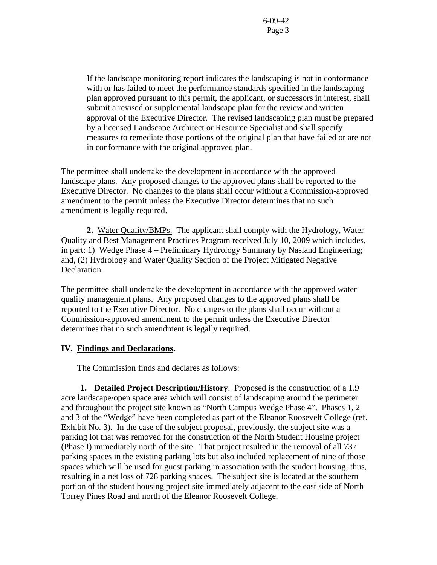If the landscape monitoring report indicates the landscaping is not in conformance with or has failed to meet the performance standards specified in the landscaping plan approved pursuant to this permit, the applicant, or successors in interest, shall submit a revised or supplemental landscape plan for the review and written approval of the Executive Director. The revised landscaping plan must be prepared by a licensed Landscape Architect or Resource Specialist and shall specify measures to remediate those portions of the original plan that have failed or are not in conformance with the original approved plan.

The permittee shall undertake the development in accordance with the approved landscape plans. Any proposed changes to the approved plans shall be reported to the Executive Director. No changes to the plans shall occur without a Commission-approved amendment to the permit unless the Executive Director determines that no such amendment is legally required.

 **2.** Water Quality/BMPs. The applicant shall comply with the Hydrology, Water Quality and Best Management Practices Program received July 10, 2009 which includes, in part: 1) Wedge Phase 4 – Preliminary Hydrology Summary by Nasland Engineering; and, (2) Hydrology and Water Quality Section of the Project Mitigated Negative Declaration.

The permittee shall undertake the development in accordance with the approved water quality management plans. Any proposed changes to the approved plans shall be reported to the Executive Director. No changes to the plans shall occur without a Commission-approved amendment to the permit unless the Executive Director determines that no such amendment is legally required.

## **IV. Findings and Declarations.**

The Commission finds and declares as follows:

**1. Detailed Project Description/History**. Proposed is the construction of a 1.9 acre landscape/open space area which will consist of landscaping around the perimeter and throughout the project site known as "North Campus Wedge Phase 4". Phases 1, 2 and 3 of the "Wedge" have been completed as part of the Eleanor Roosevelt College (ref. Exhibit No. 3). In the case of the subject proposal, previously, the subject site was a parking lot that was removed for the construction of the North Student Housing project (Phase I) immediately north of the site. That project resulted in the removal of all 737 parking spaces in the existing parking lots but also included replacement of nine of those spaces which will be used for guest parking in association with the student housing; thus, resulting in a net loss of 728 parking spaces. The subject site is located at the southern portion of the student housing project site immediately adjacent to the east side of North Torrey Pines Road and north of the Eleanor Roosevelt College.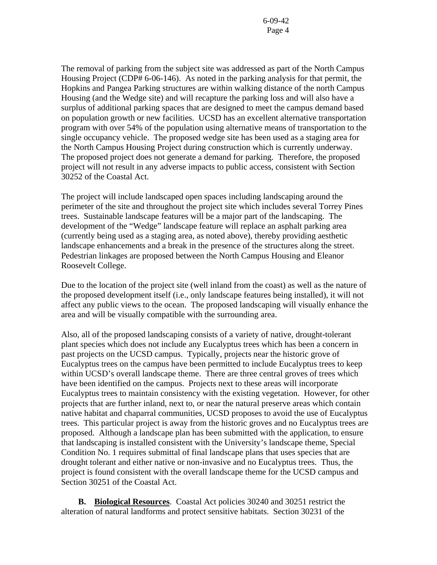The removal of parking from the subject site was addressed as part of the North Campus Housing Project (CDP# 6-06-146). As noted in the parking analysis for that permit, the Hopkins and Pangea Parking structures are within walking distance of the north Campus Housing (and the Wedge site) and will recapture the parking loss and will also have a surplus of additional parking spaces that are designed to meet the campus demand based on population growth or new facilities. UCSD has an excellent alternative transportation program with over 54% of the population using alternative means of transportation to the single occupancy vehicle. The proposed wedge site has been used as a staging area for the North Campus Housing Project during construction which is currently underway. The proposed project does not generate a demand for parking. Therefore, the proposed project will not result in any adverse impacts to public access, consistent with Section 30252 of the Coastal Act.

The project will include landscaped open spaces including landscaping around the perimeter of the site and throughout the project site which includes several Torrey Pines trees. Sustainable landscape features will be a major part of the landscaping. The development of the "Wedge" landscape feature will replace an asphalt parking area (currently being used as a staging area, as noted above), thereby providing aesthetic landscape enhancements and a break in the presence of the structures along the street. Pedestrian linkages are proposed between the North Campus Housing and Eleanor Roosevelt College.

Due to the location of the project site (well inland from the coast) as well as the nature of the proposed development itself (i.e., only landscape features being installed), it will not affect any public views to the ocean. The proposed landscaping will visually enhance the area and will be visually compatible with the surrounding area.

Also, all of the proposed landscaping consists of a variety of native, drought-tolerant plant species which does not include any Eucalyptus trees which has been a concern in past projects on the UCSD campus. Typically, projects near the historic grove of Eucalyptus trees on the campus have been permitted to include Eucalyptus trees to keep within UCSD's overall landscape theme. There are three central groves of trees which have been identified on the campus. Projects next to these areas will incorporate Eucalyptus trees to maintain consistency with the existing vegetation. However, for other projects that are further inland, next to, or near the natural preserve areas which contain native habitat and chaparral communities, UCSD proposes to avoid the use of Eucalyptus trees. This particular project is away from the historic groves and no Eucalyptus trees are proposed. Although a landscape plan has been submitted with the application, to ensure that landscaping is installed consistent with the University's landscape theme, Special Condition No. 1 requires submittal of final landscape plans that uses species that are drought tolerant and either native or non-invasive and no Eucalyptus trees. Thus, the project is found consistent with the overall landscape theme for the UCSD campus and Section 30251 of the Coastal Act.

 **B. Biological Resources**. Coastal Act policies 30240 and 30251 restrict the alteration of natural landforms and protect sensitive habitats. Section 30231 of the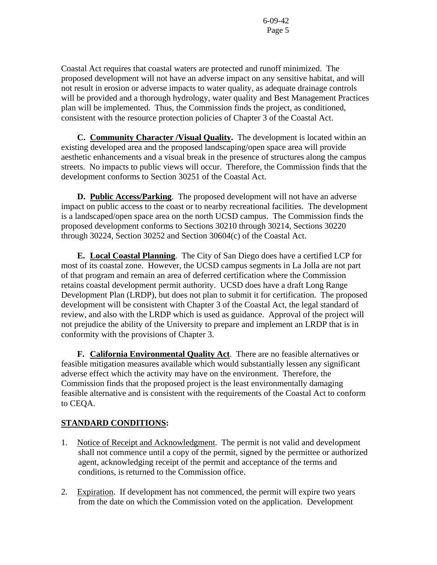Coastal Act requires that coastal waters are protected and runoff minimized. The proposed development will not have an adverse impact on any sensitive habitat, and will not result in erosion or adverse impacts to water quality, as adequate drainage controls will be provided and a thorough hydrology, water quality and Best Management Practices plan will be implemented. Thus, the Commission finds the project, as conditioned, consistent with the resource protection policies of Chapter 3 of the Coastal Act.

 **C. Community Character /Visual Quality.** The development is located within an existing developed area and the proposed landscaping/open space area will provide aesthetic enhancements and a visual break in the presence of structures along the campus streets. No impacts to public views will occur. Therefore, the Commission finds that the development conforms to Section 30251 of the Coastal Act.

**D. Public Access/Parking**. The proposed development will not have an adverse impact on public access to the coast or to nearby recreational facilities. The development is a landscaped/open space area on the north UCSD campus. The Commission finds the proposed development conforms to Sections 30210 through 30214, Sections 30220 through 30224, Section 30252 and Section 30604(c) of the Coastal Act.

**E. Local Coastal Planning**. The City of San Diego does have a certified LCP for most of its coastal zone. However, the UCSD campus segments in La Jolla are not part of that program and remain an area of deferred certification where the Commission retains coastal development permit authority. UCSD does have a draft Long Range Development Plan (LRDP), but does not plan to submit it for certification. The proposed development will be consistent with Chapter 3 of the Coastal Act, the legal standard of review, and also with the LRDP which is used as guidance. Approval of the project will not prejudice the ability of the University to prepare and implement an LRDP that is in conformity with the provisions of Chapter 3.

 **F. California Environmental Quality Act**. There are no feasible alternatives or feasible mitigation measures available which would substantially lessen any significant adverse effect which the activity may have on the environment. Therefore, the Commission finds that the proposed project is the least environmentally damaging feasible alternative and is consistent with the requirements of the Coastal Act to conform to CEQA.

# **STANDARD CONDITIONS:**

- 1. Notice of Receipt and Acknowledgment. The permit is not valid and development shall not commence until a copy of the permit, signed by the permittee or authorized agent, acknowledging receipt of the permit and acceptance of the terms and conditions, is returned to the Commission office.
- 2. Expiration. If development has not commenced, the permit will expire two years from the date on which the Commission voted on the application. Development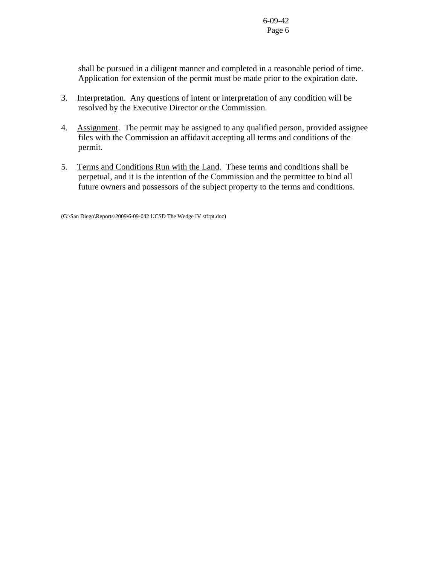shall be pursued in a diligent manner and completed in a reasonable period of time. Application for extension of the permit must be made prior to the expiration date.

- 3. Interpretation. Any questions of intent or interpretation of any condition will be resolved by the Executive Director or the Commission.
- 4. Assignment. The permit may be assigned to any qualified person, provided assignee files with the Commission an affidavit accepting all terms and conditions of the permit.
- 5. Terms and Conditions Run with the Land. These terms and conditions shall be perpetual, and it is the intention of the Commission and the permittee to bind all future owners and possessors of the subject property to the terms and conditions.

(G:\San Diego\Reports\2009\6-09-042 UCSD The Wedge IV stfrpt.doc)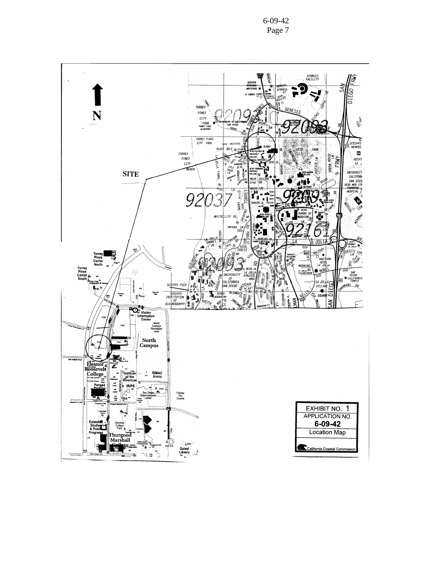6-09-42 Page 7

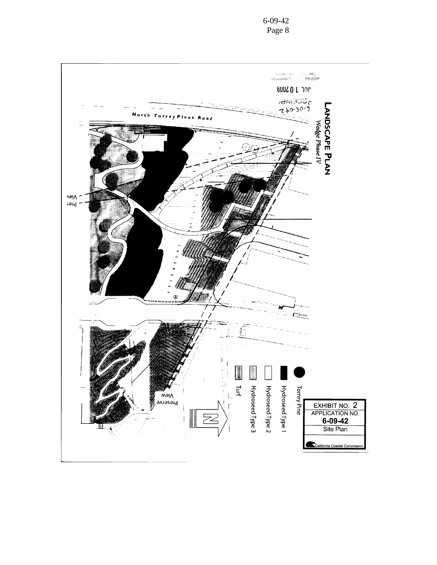